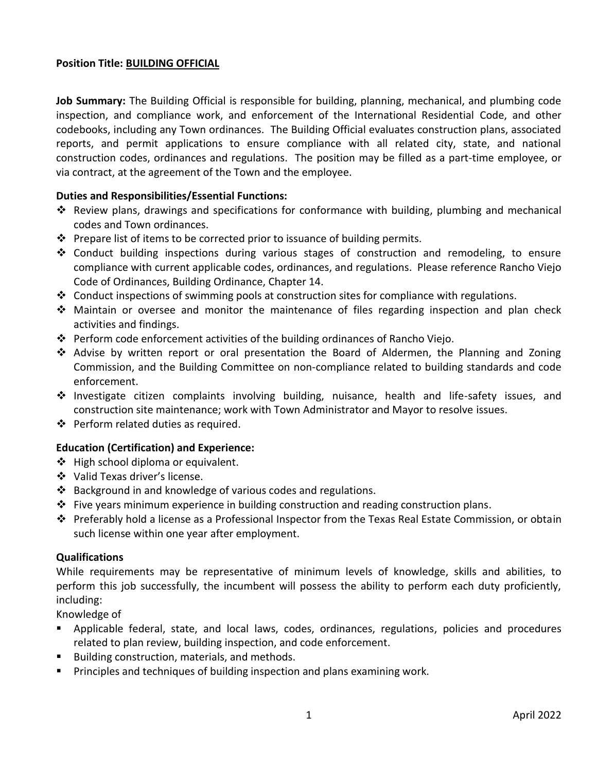## **Position Title: BUILDING OFFICIAL**

**Job Summary:** The Building Official is responsible for building, planning, mechanical, and plumbing code inspection, and compliance work, and enforcement of the International Residential Code, and other codebooks, including any Town ordinances. The Building Official evaluates construction plans, associated reports, and permit applications to ensure compliance with all related city, state, and national construction codes, ordinances and regulations. The position may be filled as a part-time employee, or via contract, at the agreement of the Town and the employee.

## **Duties and Responsibilities/Essential Functions:**

- ❖ Review plans, drawings and specifications for conformance with building, plumbing and mechanical codes and Town ordinances.
- $\div$  Prepare list of items to be corrected prior to issuance of building permits.
- ❖ Conduct building inspections during various stages of construction and remodeling, to ensure compliance with current applicable codes, ordinances, and regulations. Please reference Rancho Viejo Code of Ordinances, Building Ordinance, Chapter 14.
- $\div$  Conduct inspections of swimming pools at construction sites for compliance with regulations.
- ❖ Maintain or oversee and monitor the maintenance of files regarding inspection and plan check activities and findings.
- ❖ Perform code enforcement activities of the building ordinances of Rancho Viejo.
- ❖ Advise by written report or oral presentation the Board of Aldermen, the Planning and Zoning Commission, and the Building Committee on non-compliance related to building standards and code enforcement.
- ❖ Investigate citizen complaints involving building, nuisance, health and life-safety issues, and construction site maintenance; work with Town Administrator and Mayor to resolve issues.
- ❖ Perform related duties as required.

#### **Education (Certification) and Experience:**

- ❖ High school diploma or equivalent.
- ❖ Valid Texas driver's license.
- ❖ Background in and knowledge of various codes and regulations.
- $\div$  Five years minimum experience in building construction and reading construction plans.
- ❖ Preferably hold a license as a Professional Inspector from the Texas Real Estate Commission, or obtain such license within one year after employment.

#### **Qualifications**

While requirements may be representative of minimum levels of knowledge, skills and abilities, to perform this job successfully, the incumbent will possess the ability to perform each duty proficiently, including:

Knowledge of

- Applicable federal, state, and local laws, codes, ordinances, regulations, policies and procedures related to plan review, building inspection, and code enforcement.
- Building construction, materials, and methods.
- **•** Principles and techniques of building inspection and plans examining work.